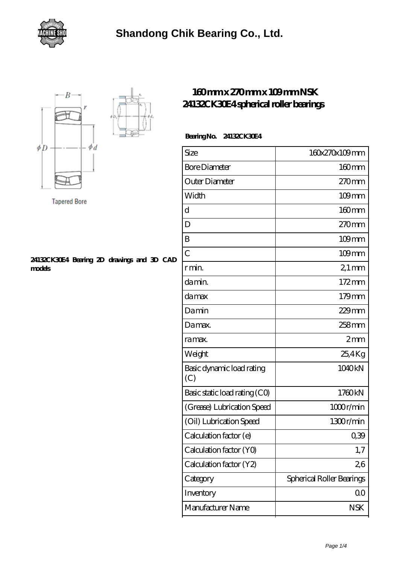



**Tapered Bore** 

#### **[24132CK30E4 Bearing 2D drawings and 3D CAD](https://gwenknighton.com/pic-351989.html) [models](https://gwenknighton.com/pic-351989.html)**

### **[160 mm x 270 mm x 109 mm NSK](https://gwenknighton.com/nsk-24132ck30e4-bearing/) [24132CK30E4 spherical roller bearings](https://gwenknighton.com/nsk-24132ck30e4-bearing/)**

#### **Bearing No. 24132CK30E4**

| Size                             | 160x270x109mm             |
|----------------------------------|---------------------------|
| <b>Bore Diameter</b>             | $160$ mm                  |
| Outer Diameter                   | 270mm                     |
| Width                            | $109$ mm                  |
| d                                | 160mm                     |
| D                                | 270mm                     |
| B                                | $109$ mm                  |
| $\overline{C}$                   | 109mm                     |
| r min.                           | $21 \,\mathrm{mm}$        |
| da min.                          | $172 \text{mm}$           |
| damax                            | 179mm                     |
| Damin                            | $229$ mm                  |
| Damax.                           | 258mm                     |
| ra max.                          | 2mm                       |
| Weight                           | 25,4Kg                    |
| Basic dynamic load rating<br>(C) | 1040kN                    |
| Basic static load rating (CO)    | 1760kN                    |
| (Grease) Lubrication Speed       | 1000r/min                 |
| (Oil) Lubrication Speed          | 1300r/min                 |
| Calculation factor (e)           | 039                       |
| Calculation factor (YO)          | 1,7                       |
| Calculation factor (Y2)          | 26                        |
| Category                         | Spherical Roller Bearings |
| Inventory                        | 00                        |
| Manufacturer Name                | <b>NSK</b>                |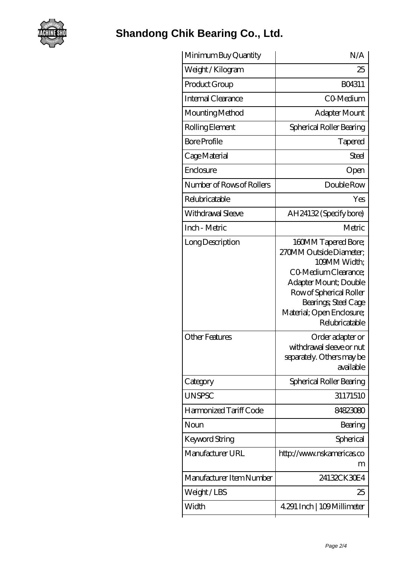

## **[Shandong Chik Bearing Co., Ltd.](https://gwenknighton.com)**

| Minimum Buy Quantity      | N/A                                                                                                                                                                                                               |
|---------------------------|-------------------------------------------------------------------------------------------------------------------------------------------------------------------------------------------------------------------|
| Weight/Kilogram           | 25                                                                                                                                                                                                                |
| Product Group             | <b>BO4311</b>                                                                                                                                                                                                     |
| Internal Clearance        | CO-Medium                                                                                                                                                                                                         |
| Mounting Method           | Adapter Mount                                                                                                                                                                                                     |
| Rolling Element           | Spherical Roller Bearing                                                                                                                                                                                          |
| <b>Bore Profile</b>       | Tapered                                                                                                                                                                                                           |
| Cage Material             | Steel                                                                                                                                                                                                             |
| Enclosure                 | Open                                                                                                                                                                                                              |
| Number of Rows of Rollers | Double Row                                                                                                                                                                                                        |
| Relubricatable            | Yes                                                                                                                                                                                                               |
| Withdrawal Sleeve         | AH24132 (Specify bore)                                                                                                                                                                                            |
| Inch - Metric             | Metric                                                                                                                                                                                                            |
| Long Description          | 160MM Tapered Bore;<br>270MM Outside Diameter;<br>109MM Width:<br>CO Medium Clearance;<br>Adapter Mount; Double<br>Row of Spherical Roller<br>Bearings; Steel Cage<br>Material; Open Enclosure;<br>Relubricatable |
| <b>Other Features</b>     | Order adapter or<br>withdrawal sleeve or nut<br>separately. Others may be<br>available                                                                                                                            |
| Category                  | Spherical Roller Bearing                                                                                                                                                                                          |
| <b>UNSPSC</b>             | 31171510                                                                                                                                                                                                          |
| Harmonized Tariff Code    | 84823080                                                                                                                                                                                                          |
| Noun                      | Bearing                                                                                                                                                                                                           |
| Keyword String            | Spherical                                                                                                                                                                                                         |
| Manufacturer URL          | http://www.nskamericas.co<br>m                                                                                                                                                                                    |
| Manufacturer Item Number  | 24132CK30E4                                                                                                                                                                                                       |
| Weight/LBS                | 25                                                                                                                                                                                                                |
| Width                     | 4.291 Inch   109 Millimeter                                                                                                                                                                                       |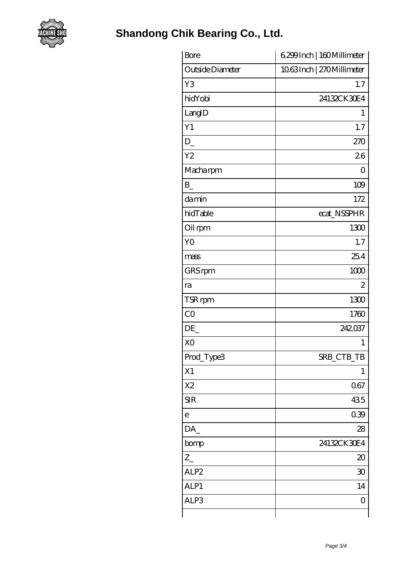

| Bore             | 6.299 Inch   160 Millimeter |
|------------------|-----------------------------|
| Outside Diameter | 1063Inch   270Millimeter    |
| Y <sub>3</sub>   | 1.7                         |
| hidYobi          | 24132CK30E4                 |
| LangID           | $\mathbf{1}$                |
| Y1               | 1.7                         |
| D                | 270                         |
| Y <sub>2</sub>   | 26                          |
| Macharpm         | $\overline{O}$              |
| $B_{-}$          | 109                         |
| damin            | 172                         |
| hidTable         | ecat_NSSPHR                 |
| Oil rpm          | 1300                        |
| Y <sub>O</sub>   | 1.7                         |
| mass             | 25.4                        |
| GRS rpm          | 1000                        |
| ra               | $\overline{2}$              |
| TSR rpm          | 1300                        |
| CO               | 1760                        |
| DE               | 242037                      |
| X <sub>O</sub>   | 1                           |
| Prod_Type3       | SRB_CTB_TB                  |
| X1               | 1                           |
| X <sub>2</sub>   | 067                         |
| <b>SIR</b>       | 435                         |
| $\mathbf e$      | 039                         |
| DA               | 28                          |
| bomp             | 24132CK30E4                 |
| $Z_{-}$          | $\infty$                    |
| ALP2             | 30                          |
| ALP1             | 14                          |
| ALP3             | 0                           |
|                  |                             |